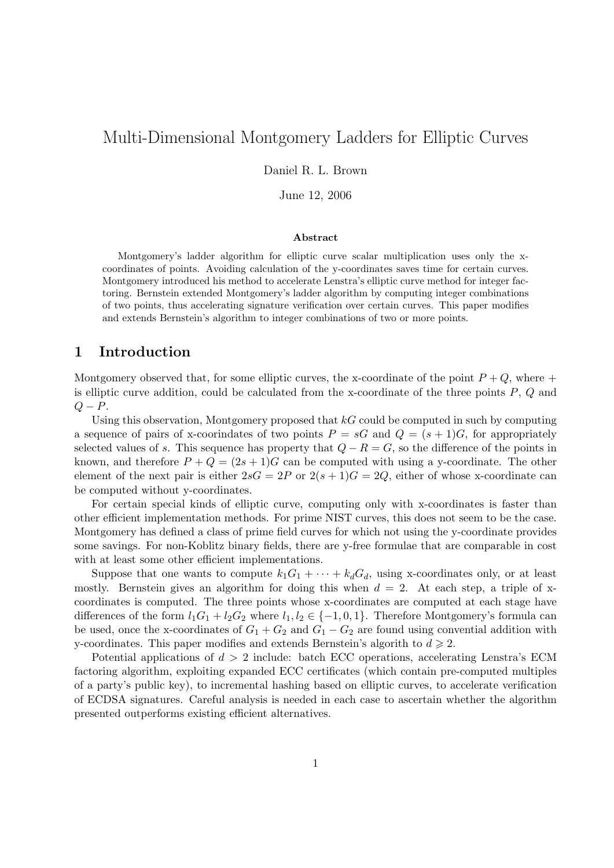# Multi-Dimensional Montgomery Ladders for Elliptic Curves

Daniel R. L. Brown

June 12, 2006

#### Abstract

Montgomery's ladder algorithm for elliptic curve scalar multiplication uses only the xcoordinates of points. Avoiding calculation of the y-coordinates saves time for certain curves. Montgomery introduced his method to accelerate Lenstra's elliptic curve method for integer factoring. Bernstein extended Montgomery's ladder algorithm by computing integer combinations of two points, thus accelerating signature verification over certain curves. This paper modifies and extends Bernstein's algorithm to integer combinations of two or more points.

# 1 Introduction

Montgomery observed that, for some elliptic curves, the x-coordinate of the point  $P+Q$ , where + is elliptic curve addition, could be calculated from the x-coordinate of the three points  $P$ ,  $Q$  and  $Q - P$ .

Using this observation, Montgomery proposed that  $kG$  could be computed in such by computing a sequence of pairs of x-coorindates of two points  $P = sG$  and  $Q = (s + 1)G$ , for appropriately selected values of s. This sequence has property that  $Q - R = G$ , so the difference of the points in known, and therefore  $P + Q = (2s + 1)G$  can be computed with using a y-coordinate. The other element of the next pair is either  $2sG = 2P$  or  $2(s + 1)G = 2Q$ , either of whose x-coordinate can be computed without y-coordinates.

For certain special kinds of elliptic curve, computing only with x-coordinates is faster than other efficient implementation methods. For prime NIST curves, this does not seem to be the case. Montgomery has defined a class of prime field curves for which not using the y-coordinate provides some savings. For non-Koblitz binary fields, there are y-free formulae that are comparable in cost with at least some other efficient implementations.

Suppose that one wants to compute  $k_1G_1 + \cdots + k_dG_d$ , using x-coordinates only, or at least mostly. Bernstein gives an algorithm for doing this when  $d = 2$ . At each step, a triple of xcoordinates is computed. The three points whose x-coordinates are computed at each stage have differences of the form  $l_1G_1 + l_2G_2$  where  $l_1, l_2 \in \{-1, 0, 1\}$ . Therefore Montgomery's formula can be used, once the x-coordinates of  $G_1 + G_2$  and  $G_1 - G_2$  are found using convential addition with y-coordinates. This paper modifies and extends Bernstein's algorith to  $d \geq 2$ .

Potential applications of  $d > 2$  include: batch ECC operations, accelerating Lenstra's ECM factoring algorithm, exploiting expanded ECC certificates (which contain pre-computed multiples of a party's public key), to incremental hashing based on elliptic curves, to accelerate verification of ECDSA signatures. Careful analysis is needed in each case to ascertain whether the algorithm presented outperforms existing efficient alternatives.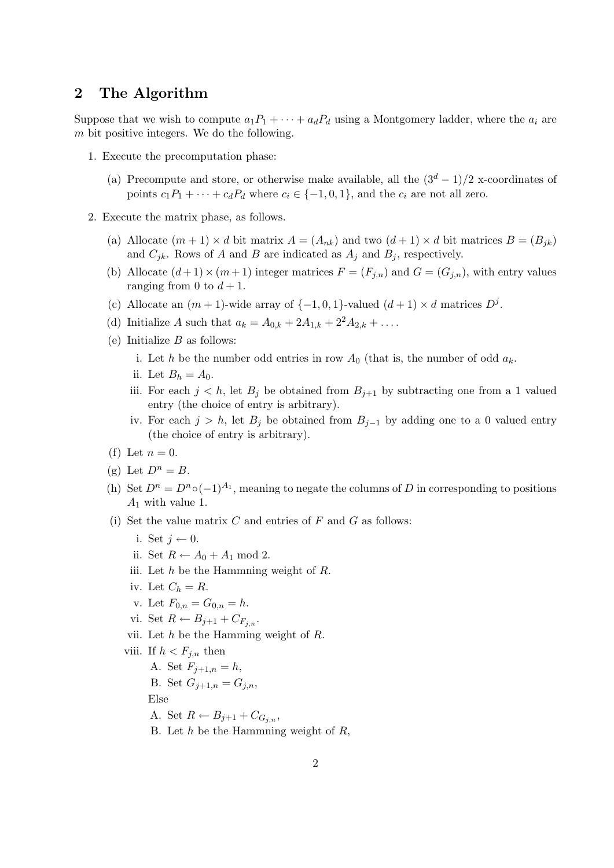# 2 The Algorithm

Suppose that we wish to compute  $a_1P_1 + \cdots + a_dP_d$  using a Montgomery ladder, where the  $a_i$  are m bit positive integers. We do the following.

- 1. Execute the precomputation phase:
	- (a) Precompute and store, or otherwise make available, all the  $(3<sup>d</sup> 1)/2$  x-coordinates of points  $c_1P_1 + \cdots + c_dP_d$  where  $c_i \in \{-1,0,1\}$ , and the  $c_i$  are not all zero.
- 2. Execute the matrix phase, as follows.
	- (a) Allocate  $(m + 1) \times d$  bit matrix  $A = (A_{nk})$  and two  $(d + 1) \times d$  bit matrices  $B = (B_{jk})$ and  $C_{jk}$ . Rows of A and B are indicated as  $A_j$  and  $B_j$ , respectively.
	- (b) Allocate  $(d+1) \times (m+1)$  integer matrices  $F = (F_{j,n})$  and  $G = (G_{j,n})$ , with entry values ranging from 0 to  $d + 1$ .
	- (c) Allocate an  $(m + 1)$ -wide array of  $\{-1,0,1\}$ -valued  $(d + 1) \times d$  matrices  $D^j$ .
	- (d) Initialize A such that  $a_k = A_{0,k} + 2A_{1,k} + 2^2A_{2,k} + \dots$
	- (e) Initialize  $B$  as follows:
		- i. Let h be the number odd entries in row  $A_0$  (that is, the number of odd  $a_k$ .
		- ii. Let  $B_h = A_0$ .
		- iii. For each  $j < h$ , let  $B_j$  be obtained from  $B_{j+1}$  by subtracting one from a 1 valued entry (the choice of entry is arbitrary).
		- iv. For each  $j > h$ , let  $B_j$  be obtained from  $B_{j-1}$  by adding one to a 0 valued entry (the choice of entry is arbitrary).
	- (f) Let  $n=0$ .
	- (g) Let  $D^n = B$ .
	- (h) Set  $D^n = D^n \circ (-1)^{A_1}$ , meaning to negate the columns of D in corresponding to positions  $A_1$  with value 1.
	- (i) Set the value matrix  $C$  and entries of  $F$  and  $G$  as follows:
		- i. Set  $j \leftarrow 0$ .
		- ii. Set  $R \leftarrow A_0 + A_1 \text{ mod } 2$ .
		- iii. Let h be the Hammning weight of R.
		- iv. Let  $C_h = R$ .
		- v. Let  $F_{0,n} = G_{0,n} = h$ .
		- vi. Set  $R \leftarrow B_{j+1} + C_{F_{j,n}}$ .
		- vii. Let  $h$  be the Hamming weight of  $R$ .
		- viii. If  $h < F_{i,n}$  then
			- A. Set  $F_{i+1,n} = h$ ,
			- B. Set  $G_{j+1,n} = G_{j,n}$ ,

#### Else

- A. Set  $R \leftarrow B_{j+1} + C_{G_{j,n}},$
- B. Let  $h$  be the Hammning weight of  $R$ ,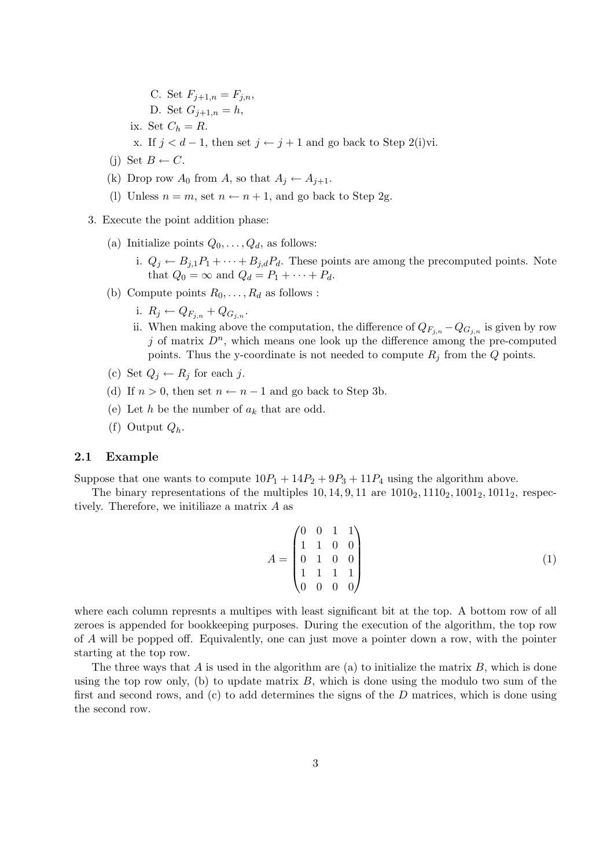- C. Set  $F_{j+1,n} = F_{j,n}$ ,
- D. Set  $G_{j+1,n} = h$ ,
- ix. Set  $C_h = R$ .
- x. If  $j < d-1$ , then set  $j \leftarrow j+1$  and go back to Step 2(i)vi.
- (j) Set  $B \leftarrow C$ .
- (k) Drop row  $A_0$  from A, so that  $A_i \leftarrow A_{i+1}$ .
- (l) Unless  $n = m$ , set  $n \leftarrow n + 1$ , and go back to Step 2g.
- 3. Execute the point addition phase:
	- (a) Initialize points  $Q_0, \ldots, Q_d$ , as follows:
		- i.  $Q_j \leftarrow B_{j,1}P_1 + \cdots + B_{j,d}P_d$ . These points are among the precomputed points. Note that  $Q_0 = \infty$  and  $Q_d = P_1 + \cdots + P_d$ .
	- (b) Compute points  $R_0, \ldots, R_d$  as follows :
		- i.  $R_j \leftarrow Q_{F_{i,n}} + Q_{G_{i,n}}$ .
		- ii. When making above the computation, the difference of  $Q_{F_{i,n}} Q_{G_{i,n}}$  is given by row j of matrix  $D^n$ , which means one look up the difference among the pre-computed points. Thus the y-coordinate is not needed to compute  $R_i$  from the Q points.
	- (c) Set  $Q_j \leftarrow R_j$  for each j.
	- (d) If  $n > 0$ , then set  $n \leftarrow n-1$  and go back to Step 3b.
	- (e) Let h be the number of  $a_k$  that are odd.
	- (f) Output  $Q_h$ .

### 2.1 Example

Suppose that one wants to compute  $10P_1 + 14P_2 + 9P_3 + 11P_4$  using the algorithm above.

The binary representations of the multiples  $10, 14, 9, 11$  are  $1010<sub>2</sub>, 1110<sub>2</sub>, 1001<sub>2</sub>, 1011<sub>2</sub>$ , respectively. Therefore, we initiliaze a matrix A as

$$
A = \begin{pmatrix} 0 & 0 & 1 & 1 \\ 1 & 1 & 0 & 0 \\ 0 & 1 & 0 & 0 \\ 1 & 1 & 1 & 1 \\ 0 & 0 & 0 & 0 \end{pmatrix}
$$
 (1)

where each column represnts a multipes with least significant bit at the top. A bottom row of all zeroes is appended for bookkeeping purposes. During the execution of the algorithm, the top row of A will be popped off. Equivalently, one can just move a pointer down a row, with the pointer starting at the top row.

The three ways that A is used in the algorithm are (a) to initialize the matrix  $B$ , which is done using the top row only, (b) to update matrix  $B$ , which is done using the modulo two sum of the first and second rows, and  $(c)$  to add determines the signs of the  $D$  matrices, which is done using the second row.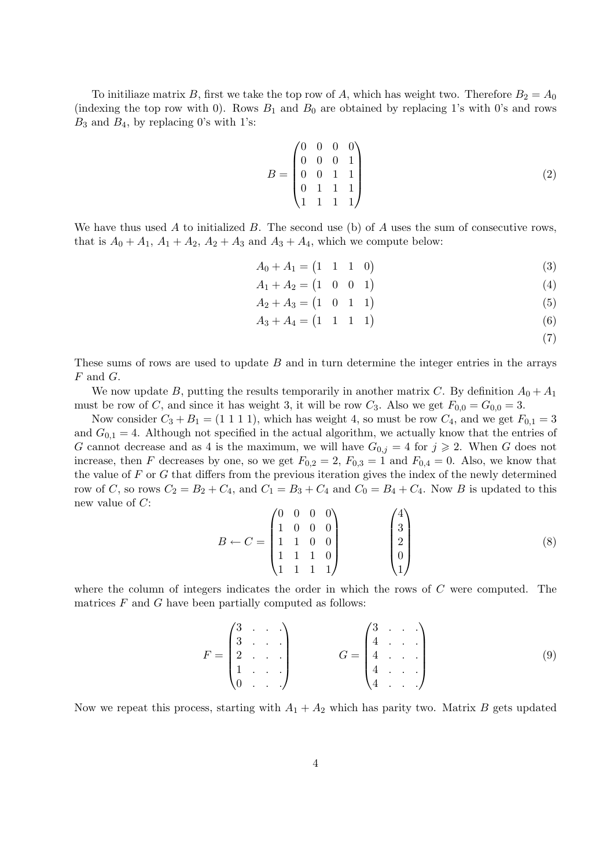To initiliaze matrix B, first we take the top row of A, which has weight two. Therefore  $B_2 = A_0$ (indexing the top row with 0). Rows  $B_1$  and  $B_0$  are obtained by replacing 1's with 0's and rows  $B_3$  and  $B_4$ , by replacing 0's with 1's:

$$
B = \begin{pmatrix} 0 & 0 & 0 & 0 \\ 0 & 0 & 0 & 1 \\ 0 & 0 & 1 & 1 \\ 0 & 1 & 1 & 1 \\ 1 & 1 & 1 & 1 \end{pmatrix}
$$
 (2)

We have thus used A to initialized B. The second use (b) of A uses the sum of consecutive rows, that is  $A_0 + A_1$ ,  $A_1 + A_2$ ,  $A_2 + A_3$  and  $A_3 + A_4$ , which we compute below:

- $A_0 + A_1 = \begin{pmatrix} 1 & 1 & 1 & 0 \end{pmatrix}$ (3)
- $A_1 + A_2 = \begin{pmatrix} 1 & 0 & 0 & 1 \end{pmatrix}$ (4)
- $A_2 + A_3 = \begin{pmatrix} 1 & 0 & 1 & 1 \end{pmatrix}$ (5)
- $A_3 + A_4 = \begin{pmatrix} 1 & 1 & 1 & 1 \end{pmatrix}$ (6)
	- (7)

These sums of rows are used to update  $B$  and in turn determine the integer entries in the arrays  $F$  and  $G$ .

We now update B, putting the results temporarily in another matrix C. By definition  $A_0 + A_1$ must be row of C, and since it has weight 3, it will be row  $C_3$ . Also we get  $F_{0,0} = G_{0,0} = 3$ .

Now consider  $C_3 + B_1 = (1 \ 1 \ 1 \ 1)$ , which has weight 4, so must be row  $C_4$ , and we get  $F_{0,1} = 3$ and  $G_{0,1} = 4$ . Although not specified in the actual algorithm, we actually know that the entries of G cannot decrease and as 4 is the maximum, we will have  $G_{0,j} = 4$  for  $j \ge 2$ . When G does not increase, then F decreases by one, so we get  $F_{0,2} = 2$ ,  $F_{0,3} = 1$  and  $F_{0,4} = 0$ . Also, we know that the value of  $F$  or  $G$  that differs from the previous iteration gives the index of the newly determined row of C, so rows  $C_2 = B_2 + C_4$ , and  $C_1 = B_3 + C_4$  and  $C_0 = B_4 + C_4$ . Now B is updated to this new value of C:

$$
B \leftarrow C = \begin{pmatrix} 0 & 0 & 0 & 0 \\ 1 & 0 & 0 & 0 \\ 1 & 1 & 0 & 0 \\ 1 & 1 & 1 & 0 \\ 1 & 1 & 1 & 1 \end{pmatrix} \qquad \begin{pmatrix} 4 \\ 3 \\ 2 \\ 0 \\ 1 \end{pmatrix}
$$
 (8)

where the column of integers indicates the order in which the rows of  $C$  were computed. The matrices  $F$  and  $G$  have been partially computed as follows:

$$
F = \begin{pmatrix} 3 & \cdots & \cdots \\ 3 & \cdots & \cdots \\ 2 & \cdots & \cdots \\ 1 & \cdots & \cdots \end{pmatrix} \qquad G = \begin{pmatrix} 3 & \cdots & \cdots \\ 4 & \cdots & \cdots \\ 4 & \cdots & \cdots \\ 4 & \cdots & \cdots \end{pmatrix}
$$
(9)

Now we repeat this process, starting with  $A_1 + A_2$  which has parity two. Matrix B gets updated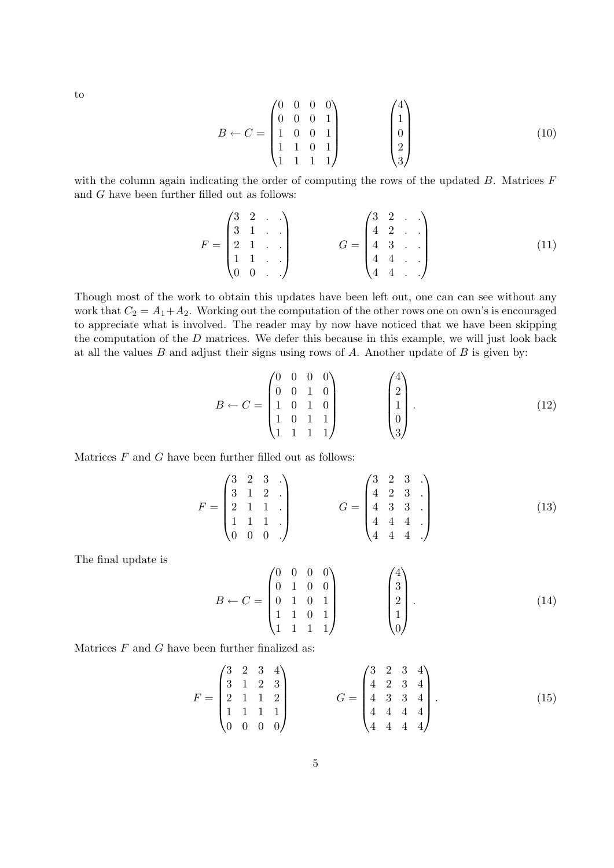to

$$
B \leftarrow C = \begin{pmatrix} 0 & 0 & 0 & 0 \\ 0 & 0 & 0 & 1 \\ 1 & 0 & 0 & 1 \\ 1 & 1 & 0 & 1 \\ 1 & 1 & 1 & 1 \end{pmatrix} \qquad \begin{pmatrix} 4 \\ 1 \\ 0 \\ 2 \\ 3 \end{pmatrix}
$$
 (10)

with the column again indicating the order of computing the rows of the updated  $B$ . Matrices  $F$ and G have been further filled out as follows:

$$
F = \begin{pmatrix} 3 & 2 & \cdots \\ 3 & 1 & \cdots \\ 2 & 1 & \cdots \\ 1 & 1 & \cdots \\ 0 & 0 & \cdots \end{pmatrix} \qquad G = \begin{pmatrix} 3 & 2 & \cdots \\ 4 & 2 & \cdots \\ 4 & 3 & \cdots \\ 4 & 4 & \cdots \\ 4 & 4 & \cdots \end{pmatrix} \tag{11}
$$

Though most of the work to obtain this updates have been left out, one can can see without any work that  $C_2 = A_1 + A_2$ . Working out the computation of the other rows one on own's is encouraged to appreciate what is involved. The reader may by now have noticed that we have been skipping the computation of the  $D$  matrices. We defer this because in this example, we will just look back at all the values  $B$  and adjust their signs using rows of  $A$ . Another update of  $B$  is given by:

$$
B \leftarrow C = \begin{pmatrix} 0 & 0 & 0 & 0 \\ 0 & 0 & 1 & 0 \\ 1 & 0 & 1 & 0 \\ 1 & 0 & 1 & 1 \\ 1 & 1 & 1 & 1 \end{pmatrix} \qquad \begin{pmatrix} 4 \\ 2 \\ 1 \\ 0 \\ 3 \end{pmatrix} . \tag{12}
$$

Matrices  $F$  and  $G$  have been further filled out as follows:

$$
F = \begin{pmatrix} 3 & 2 & 3 & \cdots \\ 3 & 1 & 2 & \cdots \\ 2 & 1 & 1 & \cdots \\ 1 & 1 & 1 & \cdots \\ 0 & 0 & 0 & \cdots \end{pmatrix} \qquad G = \begin{pmatrix} 3 & 2 & 3 & \cdots \\ 4 & 2 & 3 & \cdots \\ 4 & 3 & 3 & \cdots \\ 4 & 4 & 4 & \cdots \end{pmatrix} \tag{13}
$$

The final update is

$$
B \leftarrow C = \begin{pmatrix} 0 & 0 & 0 & 0 \\ 0 & 1 & 0 & 0 \\ 0 & 1 & 0 & 1 \\ 1 & 1 & 0 & 1 \\ 1 & 1 & 1 & 1 \end{pmatrix} \qquad \begin{pmatrix} 4 \\ 3 \\ 2 \\ 1 \\ 0 \end{pmatrix} . \tag{14}
$$

Matrices  $F$  and  $G$  have been further finalized as:

$$
F = \begin{pmatrix} 3 & 2 & 3 & 4 \\ 3 & 1 & 2 & 3 \\ 2 & 1 & 1 & 2 \\ 1 & 1 & 1 & 1 \\ 0 & 0 & 0 & 0 \end{pmatrix} \qquad G = \begin{pmatrix} 3 & 2 & 3 & 4 \\ 4 & 2 & 3 & 4 \\ 4 & 3 & 3 & 4 \\ 4 & 4 & 4 & 4 \\ 4 & 4 & 4 & 4 \end{pmatrix} . \tag{15}
$$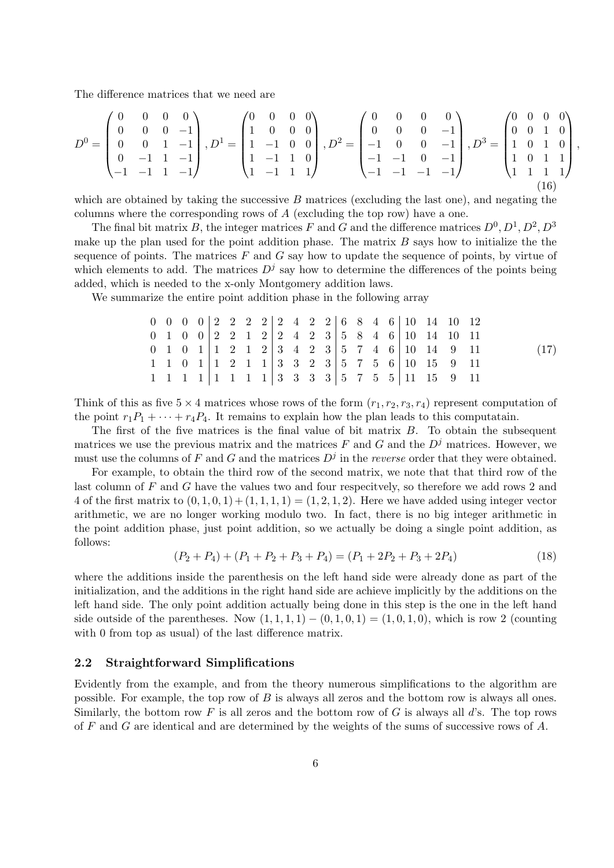The difference matrices that we need are

$$
D^{0} = \begin{pmatrix} 0 & 0 & 0 & 0 \\ 0 & 0 & 0 & -1 \\ 0 & 0 & 1 & -1 \\ 0 & -1 & 1 & -1 \end{pmatrix}, D^{1} = \begin{pmatrix} 0 & 0 & 0 & 0 \\ 1 & 0 & 0 & 0 \\ 1 & -1 & 0 & 0 \\ 1 & -1 & 1 & 1 \end{pmatrix}, D^{2} = \begin{pmatrix} 0 & 0 & 0 & 0 \\ 0 & 0 & 0 & -1 \\ -1 & 0 & 0 & -1 \\ -1 & -1 & 0 & -1 \end{pmatrix}, D^{3} = \begin{pmatrix} 0 & 0 & 0 & 0 \\ 0 & 0 & 1 & 0 \\ 1 & 0 & 1 & 0 \\ 1 & 0 & 1 & 1 \\ 1 & 1 & 1 & 1 \end{pmatrix}
$$
(16)

,

which are obtained by taking the successive  $B$  matrices (excluding the last one), and negating the columns where the corresponding rows of  $A$  (excluding the top row) have a one.

The final bit matrix B, the integer matrices F and G and the difference matrices  $D^0, D^1, D^2, D^3$ make up the plan used for the point addition phase. The matrix  $B$  says how to initialize the the sequence of points. The matrices  $F$  and  $G$  say how to update the sequence of points, by virtue of which elements to add. The matrices  $D<sup>j</sup>$  say how to determine the differences of the points being added, which is needed to the x-only Montgomery addition laws.

We summarize the entire point addition phase in the following array

$$
\begin{array}{cccc|cccc|cccc} 0 & 0 & 0 & 0 & 2 & 2 & 2 & 2 & 2 & 2 & 4 & 2 & 2 & 6 & 8 & 4 & 6 & 10 & 14 & 10 & 12 \\ 0 & 1 & 0 & 0 & 2 & 2 & 1 & 2 & 2 & 4 & 2 & 3 & 5 & 8 & 4 & 6 & 10 & 14 & 10 & 11 \\ 0 & 1 & 0 & 1 & 1 & 2 & 1 & 2 & 3 & 4 & 2 & 3 & 5 & 7 & 4 & 6 & 10 & 14 & 9 & 11 \\ 1 & 1 & 0 & 1 & 1 & 2 & 1 & 1 & 3 & 3 & 2 & 3 & 5 & 7 & 5 & 6 & 10 & 15 & 9 & 11 \\ 1 & 1 & 1 & 1 & 1 & 1 & 1 & 1 & 3 & 3 & 3 & 3 & 5 & 7 & 5 & 5 & 11 & 15 & 9 & 11 \end{array} \tag{17}
$$

Think of this as five  $5 \times 4$  matrices whose rows of the form  $(r_1, r_2, r_3, r_4)$  represent computation of the point  $r_1P_1 + \cdots + r_4P_4$ . It remains to explain how the plan leads to this computatain.

The first of the five matrices is the final value of bit matrix B. To obtain the subsequent matrices we use the previous matrix and the matrices F and G and the  $D^j$  matrices. However, we must use the columns of F and G and the matrices  $D^j$  in the *reverse* order that they were obtained.

For example, to obtain the third row of the second matrix, we note that that third row of the last column of F and G have the values two and four respecitvely, so therefore we add rows 2 and 4 of the first matrix to  $(0, 1, 0, 1) + (1, 1, 1, 1) = (1, 2, 1, 2)$ . Here we have added using integer vector arithmetic, we are no longer working modulo two. In fact, there is no big integer arithmetic in the point addition phase, just point addition, so we actually be doing a single point addition, as follows:

$$
(P_2 + P_4) + (P_1 + P_2 + P_3 + P_4) = (P_1 + 2P_2 + P_3 + 2P_4)
$$
\n(18)

where the additions inside the parenthesis on the left hand side were already done as part of the initialization, and the additions in the right hand side are achieve implicitly by the additions on the left hand side. The only point addition actually being done in this step is the one in the left hand side outside of the parentheses. Now  $(1, 1, 1, 1) - (0, 1, 0, 1) = (1, 0, 1, 0)$ , which is row 2 (counting with 0 from top as usual) of the last difference matrix.

#### 2.2 Straightforward Simplifications

Evidently from the example, and from the theory numerous simplifications to the algorithm are possible. For example, the top row of  $B$  is always all zeros and the bottom row is always all ones. Similarly, the bottom row F is all zeros and the bottom row of G is always all d's. The top rows of  $F$  and  $G$  are identical and are determined by the weights of the sums of successive rows of  $A$ .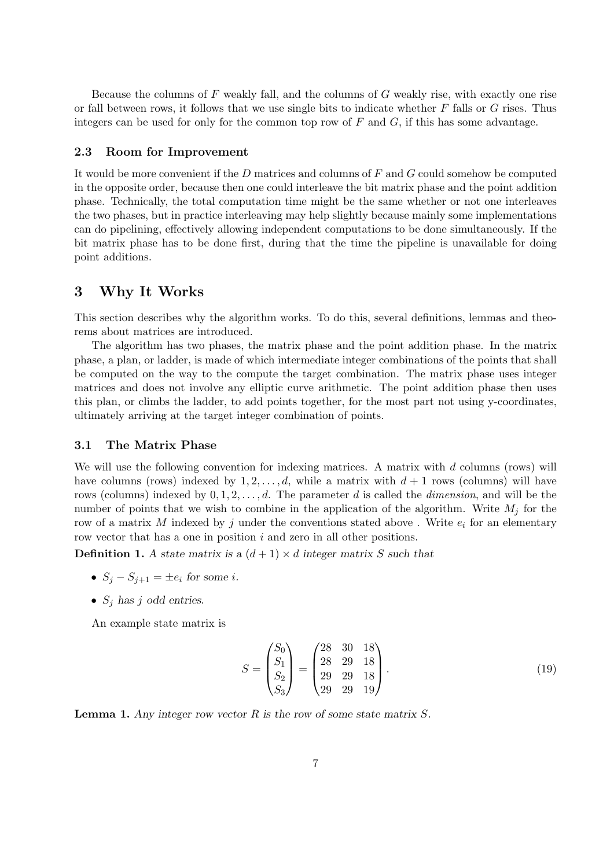Because the columns of  $F$  weakly fall, and the columns of  $G$  weakly rise, with exactly one rise or fall between rows, it follows that we use single bits to indicate whether  $F$  falls or  $G$  rises. Thus integers can be used for only for the common top row of  $F$  and  $G$ , if this has some advantage.

#### 2.3 Room for Improvement

It would be more convenient if the  $D$  matrices and columns of  $F$  and  $G$  could somehow be computed in the opposite order, because then one could interleave the bit matrix phase and the point addition phase. Technically, the total computation time might be the same whether or not one interleaves the two phases, but in practice interleaving may help slightly because mainly some implementations can do pipelining, effectively allowing independent computations to be done simultaneously. If the bit matrix phase has to be done first, during that the time the pipeline is unavailable for doing point additions.

# 3 Why It Works

This section describes why the algorithm works. To do this, several definitions, lemmas and theorems about matrices are introduced.

The algorithm has two phases, the matrix phase and the point addition phase. In the matrix phase, a plan, or ladder, is made of which intermediate integer combinations of the points that shall be computed on the way to the compute the target combination. The matrix phase uses integer matrices and does not involve any elliptic curve arithmetic. The point addition phase then uses this plan, or climbs the ladder, to add points together, for the most part not using y-coordinates, ultimately arriving at the target integer combination of points.

### 3.1 The Matrix Phase

We will use the following convention for indexing matrices. A matrix with  $d$  columns (rows) will have columns (rows) indexed by  $1, 2, \ldots, d$ , while a matrix with  $d + 1$  rows (columns) will have rows (columns) indexed by  $0, 1, 2, \ldots, d$ . The parameter d is called the *dimension*, and will be the number of points that we wish to combine in the application of the algorithm. Write  $M_i$  for the row of a matrix M indexed by j under the conventions stated above . Write  $e_i$  for an elementary row vector that has a one in position i and zero in all other positions.

**Definition 1.** A state matrix is a  $(d+1) \times d$  integer matrix S such that

- $S_j S_{j+1} = \pm e_i$  for some *i*.
- $S_j$  has j odd entries.

An example state matrix is

$$
S = \begin{pmatrix} S_0 \\ S_1 \\ S_2 \\ S_3 \end{pmatrix} = \begin{pmatrix} 28 & 30 & 18 \\ 28 & 29 & 18 \\ 29 & 29 & 18 \\ 29 & 29 & 19 \end{pmatrix} . \tag{19}
$$

**Lemma 1.** Any integer row vector  $R$  is the row of some state matrix  $S$ .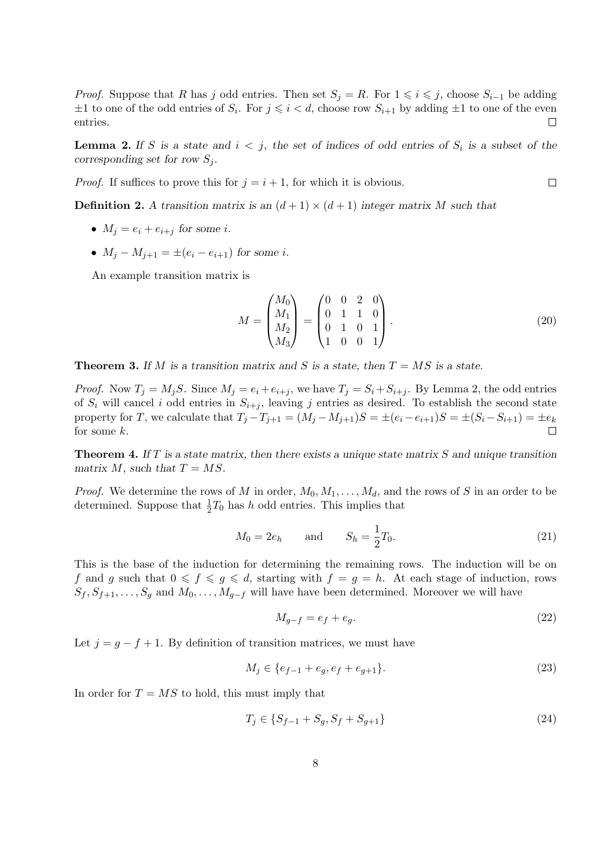*Proof.* Suppose that R has j odd entries. Then set  $S_j = R$ . For  $1 \leq i \leq j$ , choose  $S_{i-1}$  be adding  $\pm 1$  to one of the odd entries of  $S_i$ . For  $j \leq i < d$ , choose row  $S_{i+1}$  by adding  $\pm 1$  to one of the even entries.  $\Box$ 

**Lemma 2.** If S is a state and  $i < j$ , the set of indices of odd entries of  $S_i$  is a subset of the corresponding set for row  $S_j$ .

*Proof.* If suffices to prove this for  $j = i + 1$ , for which it is obvious.

**Definition 2.** A transition matrix is an  $(d+1) \times (d+1)$  integer matrix M such that

- $M_i = e_i + e_{i+j}$  for some i.
- $M_i M_{i+1} = \pm (e_i e_{i+1})$  for some *i*.

An example transition matrix is

$$
M = \begin{pmatrix} M_0 \\ M_1 \\ M_2 \\ M_3 \end{pmatrix} = \begin{pmatrix} 0 & 0 & 2 & 0 \\ 0 & 1 & 1 & 0 \\ 0 & 1 & 0 & 1 \\ 1 & 0 & 0 & 1 \end{pmatrix} . \tag{20}
$$

**Theorem 3.** If M is a transition matrix and S is a state, then  $T = MS$  is a state.

*Proof.* Now  $T_i = M_iS$ . Since  $M_i = e_i + e_{i+i}$ , we have  $T_i = S_i + S_{i+i}$ . By Lemma 2, the odd entries of  $S_i$  will cancel i odd entries in  $S_{i+j}$ , leaving j entries as desired. To establish the second state property for T, we calculate that  $T_j - T_{j+1} = (M_j - M_{j+1})S = \pm (e_i - e_{i+1})S = \pm (S_i - S_{i+1}) = \pm e_k$ for some k.

**Theorem 4.** If T is a state matrix, then there exists a unique state matrix S and unique transition matrix M, such that  $T = MS$ .

*Proof.* We determine the rows of M in order,  $M_0, M_1, \ldots, M_d$ , and the rows of S in an order to be determined. Suppose that  $\frac{1}{2}T_0$  has h odd entries. This implies that

$$
M_0 = 2e_h
$$
 and  $S_h = \frac{1}{2}T_0$ . (21)

This is the base of the induction for determining the remaining rows. The induction will be on f and g such that  $0 \leq f \leq g \leq d$ , starting with  $f = g = h$ . At each stage of induction, rows  $S_f, S_{f+1}, \ldots, S_g$  and  $M_0, \ldots, M_{g-f}$  will have have been determined. Moreover we will have

$$
M_{g-f} = e_f + e_g. \tag{22}
$$

Let  $j = g - f + 1$ . By definition of transition matrices, we must have

$$
M_j \in \{e_{f-1} + e_g, e_f + e_{g+1}\}.
$$
\n(23)

In order for  $T = MS$  to hold, this must imply that

$$
T_j \in \{S_{f-1} + S_g, S_f + S_{g+1}\}\tag{24}
$$

 $\Box$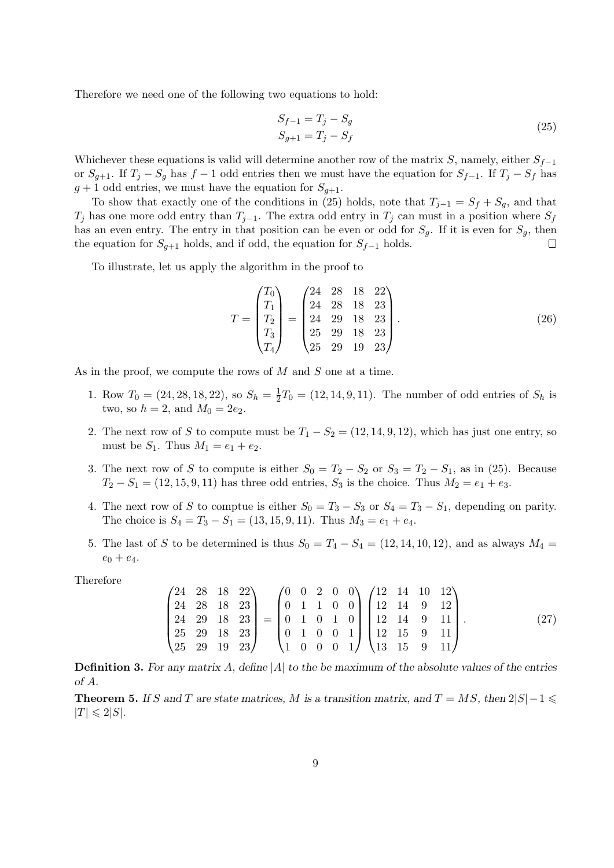Therefore we need one of the following two equations to hold:

$$
S_{f-1} = T_j - S_g
$$
  
\n
$$
S_{g+1} = T_j - S_f
$$
\n(25)

Whichever these equations is valid will determine another row of the matrix S, namely, either  $S_{f-1}$ or  $S_{q+1}$ . If  $T_j - S_q$  has  $f-1$  odd entries then we must have the equation for  $S_{f-1}$ . If  $T_j - S_f$  has  $g + 1$  odd entries, we must have the equation for  $S_{q+1}$ .

To show that exactly one of the conditions in (25) holds, note that  $T_{j-1} = S_f + S_g$ , and that  $T_j$  has one more odd entry than  $T_{j-1}$ . The extra odd entry in  $T_j$  can must in a position where  $S_f$ has an even entry. The entry in that position can be even or odd for  $S_g$ . If it is even for  $S_g$ , then the equation for  $S_{q+1}$  holds, and if odd, the equation for  $S_{f-1}$  holds.  $\Box$ 

To illustrate, let us apply the algorithm in the proof to

$$
T = \begin{pmatrix} T_0 \\ T_1 \\ T_2 \\ T_3 \\ T_4 \end{pmatrix} = \begin{pmatrix} 24 & 28 & 18 & 22 \\ 24 & 28 & 18 & 23 \\ 24 & 29 & 18 & 23 \\ 25 & 29 & 18 & 23 \\ 25 & 29 & 19 & 23 \end{pmatrix} . \tag{26}
$$

As in the proof, we compute the rows of  $M$  and  $S$  one at a time.

- 1. Row  $T_0 = (24, 28, 18, 22)$ , so  $S_h = \frac{1}{2}$  $\frac{1}{2}T_0 = (12, 14, 9, 11)$ . The number of odd entries of  $S_h$  is two, so  $h = 2$ , and  $M_0 = 2e_2$ .
- 2. The next row of S to compute must be  $T_1 S_2 = (12, 14, 9, 12)$ , which has just one entry, so must be  $S_1$ . Thus  $M_1 = e_1 + e_2$ .
- 3. The next row of S to compute is either  $S_0 = T_2 S_2$  or  $S_3 = T_2 S_1$ , as in (25). Because  $T_2 - S_1 = (12, 15, 9, 11)$  has three odd entries,  $S_3$  is the choice. Thus  $M_2 = e_1 + e_3$ .
- 4. The next row of S to comptue is either  $S_0 = T_3 S_3$  or  $S_4 = T_3 S_1$ , depending on parity. The choice is  $S_4 = T_3 - S_1 = (13, 15, 9, 11)$ . Thus  $M_3 = e_1 + e_4$ .
- 5. The last of S to be determined is thus  $S_0 = T_4 S_4 = (12, 14, 10, 12)$ , and as always  $M_4 =$  $e_0 + e_4.$

Therefore

$$
\begin{pmatrix} 24 & 28 & 18 & 22 \\ 24 & 28 & 18 & 23 \\ 24 & 29 & 18 & 23 \\ 25 & 29 & 18 & 23 \\ 25 & 29 & 19 & 23 \end{pmatrix} = \begin{pmatrix} 0 & 0 & 2 & 0 & 0 \\ 0 & 1 & 1 & 0 & 0 \\ 0 & 1 & 0 & 1 & 0 \\ 0 & 1 & 0 & 0 & 1 \\ 1 & 0 & 0 & 0 & 1 \end{pmatrix} \begin{pmatrix} 12 & 14 & 10 & 12 \\ 12 & 14 & 9 & 12 \\ 12 & 14 & 9 & 11 \\ 12 & 15 & 9 & 11 \\ 13 & 15 & 9 & 11 \end{pmatrix} . \tag{27}
$$

**Definition 3.** For any matrix A, define |A| to the be maximum of the absolute values of the entries of A.

**Theorem 5.** If S and T are state matrices, M is a transition matrix, and  $T = MS$ , then  $2|S|-1 \leq$  $|T| \leq 2|S|.$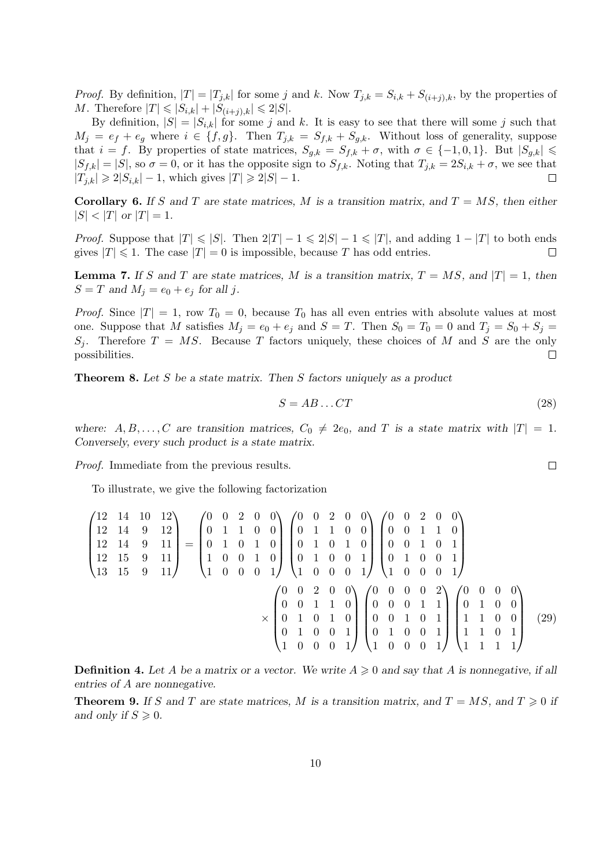*Proof.* By definition,  $|T| = |T_{j,k}|$  for some j and k. Now  $T_{j,k} = S_{i,k} + S_{(i+j),k}$ , by the properties of *M*. Therefore  $|T| \leq |S_{i,k}| + |S_{(i+j),k}| \leq 2|S|.$ 

By definition,  $|S| = |S_{i,k}|$  for some j and k. It is easy to see that there will some j such that  $M_j = e_f + e_g$  where  $i \in \{f, g\}$ . Then  $T_{j,k} = S_{f,k} + S_{g,k}$ . Without loss of generality, suppose that  $i = f$ . By properties of state matrices,  $S_{g,k} = S_{f,k} + \sigma$ , with  $\sigma \in \{-1,0,1\}$ . But  $|S_{g,k}| \leq$  $|S_{f,k}| = |S|$ , so  $\sigma = 0$ , or it has the opposite sign to  $S_{f,k}$ . Noting that  $T_{j,k} = 2S_{i,k} + \sigma$ , we see that  $|T_{i,k}| \geq 2|S_{i,k}| - 1$ , which gives  $|T| \geq 2|S| - 1$ .  $\Box$ 

Corollary 6. If S and T are state matrices, M is a transition matrix, and  $T = MS$ , then either  $|S| < |T|$  or  $|T| = 1$ .

*Proof.* Suppose that  $|T| \le |S|$ . Then  $2|T| - 1 \le 2|S| - 1 \le |T|$ , and adding  $1 - |T|$  to both ends gives  $|T| \leq 1$ . The case  $|T| = 0$  is impossible, because T has odd entries.  $\Box$ 

**Lemma 7.** If S and T are state matrices, M is a transition matrix,  $T = MS$ , and  $|T| = 1$ , then  $S = T$  and  $M_i = e_0 + e_i$  for all j.

*Proof.* Since  $|T| = 1$ , row  $T_0 = 0$ , because  $T_0$  has all even entries with absolute values at most one. Suppose that M satisfies  $M_j = e_0 + e_j$  and  $S = T$ . Then  $S_0 = T_0 = 0$  and  $T_j = S_0 + S_j =$  $S_j$ . Therefore  $T = MS$ . Because T factors uniquely, these choices of M and S are the only possibilities.  $\Box$ 

Theorem 8. Let S be a state matrix. Then S factors uniquely as a product

$$
S = AB \dots CT \tag{28}
$$

where:  $A, B, \ldots, C$  are transition matrices,  $C_0 \neq 2e_0$ , and T is a state matrix with  $|T| = 1$ . Conversely, every such product is a state matrix.

Proof. Immediate from the previous results.

To illustrate, we give the following factorization

$$
\begin{pmatrix}\n12 & 14 & 10 & 12 \\
12 & 14 & 9 & 12 \\
12 & 14 & 9 & 11 \\
12 & 15 & 9 & 11\n\end{pmatrix} = \begin{pmatrix}\n0 & 0 & 2 & 0 & 0 \\
0 & 1 & 1 & 0 & 0 \\
0 & 1 & 0 & 1 & 0 \\
1 & 0 & 0 & 1 & 0 \\
1 & 0 & 0 & 0 & 1\n\end{pmatrix} \begin{pmatrix}\n0 & 0 & 2 & 0 & 0 \\
0 & 1 & 1 & 0 & 0 \\
0 & 1 & 0 & 1 & 0 \\
1 & 0 & 0 & 0 & 1\n\end{pmatrix} \begin{pmatrix}\n0 & 0 & 2 & 0 & 0 \\
0 & 0 & 1 & 1 & 0 \\
0 & 0 & 0 & 1 & 0 \\
1 & 0 & 0 & 0 & 1\n\end{pmatrix} \begin{pmatrix}\n0 & 0 & 2 & 0 & 0 \\
0 & 0 & 1 & 1 & 0 \\
0 & 1 & 0 & 0 & 1 \\
1 & 0 & 0 & 0 & 1\n\end{pmatrix}
$$
\n
$$
\times \begin{pmatrix}\n0 & 0 & 2 & 0 & 0 \\
0 & 0 & 1 & 1 & 0 \\
0 & 1 & 0 & 1 & 0 \\
0 & 1 & 0 & 0 & 1\n\end{pmatrix} \begin{pmatrix}\n0 & 0 & 0 & 0 & 2 \\
0 & 0 & 0 & 1 & 1 \\
0 & 0 & 0 & 1 & 1 \\
0 & 1 & 0 & 0 & 1\n\end{pmatrix} \begin{pmatrix}\n0 & 0 & 0 & 0 & 0 \\
0 & 0 & 0 & 1 & 1 \\
0 & 0 & 0 & 1 & 1 \\
1 & 1 & 0 & 0 & 1 \\
1 & 1 & 0 & 1 & 1\n\end{pmatrix} \begin{pmatrix}\n0 & 0 & 0 & 0 & 0 \\
0 & 0 & 0 & 1 & 1 \\
0 & 1 & 0 & 0 & 1 \\
1 & 1 & 0 & 1 & 1 \\
1 & 1 & 1 & 1 & 1\n\end{pmatrix} (29)
$$

**Definition 4.** Let A be a matrix or a vector. We write  $A \geq 0$  and say that A is nonnegative, if all entries of A are nonnegative.

**Theorem 9.** If S and T are state matrices, M is a transition matrix, and  $T = MS$ , and  $T \ge 0$  if and only if  $S \geqslant 0$ .

 $\Box$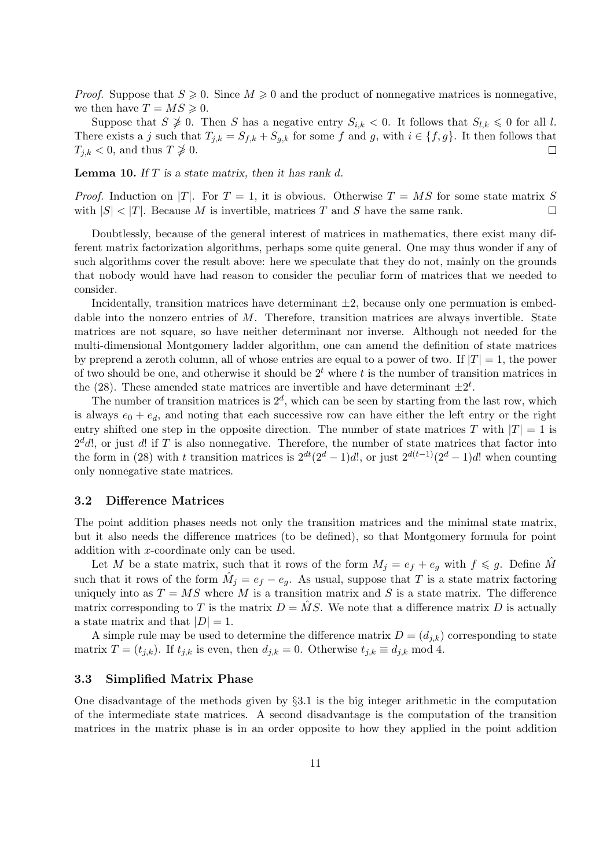*Proof.* Suppose that  $S \ge 0$ . Since  $M \ge 0$  and the product of nonnegative matrices is nonnegative, we then have  $T = MS \geqslant 0$ .

Suppose that  $S \not\geq 0$ . Then S has a negative entry  $S_{i,k} < 0$ . It follows that  $S_{l,k} \leq 0$  for all l. There exists a j such that  $T_{j,k} = S_{f,k} + S_{g,k}$  for some f and g, with  $i \in \{f,g\}$ . It then follows that  $T_{j,k} < 0$ , and thus  $T \not\geq 0$ .

**Lemma 10.** If  $T$  is a state matrix, then it has rank  $d$ .

*Proof.* Induction on |T|. For  $T = 1$ , it is obvious. Otherwise  $T = MS$  for some state matrix S with  $|S| < |T|$ . Because M is invertible, matrices T and S have the same rank.  $\Box$ 

Doubtlessly, because of the general interest of matrices in mathematics, there exist many different matrix factorization algorithms, perhaps some quite general. One may thus wonder if any of such algorithms cover the result above: here we speculate that they do not, mainly on the grounds that nobody would have had reason to consider the peculiar form of matrices that we needed to consider.

Incidentally, transition matrices have determinant  $\pm 2$ , because only one permuation is embeddable into the nonzero entries of  $M$ . Therefore, transition matrices are always invertible. State matrices are not square, so have neither determinant nor inverse. Although not needed for the multi-dimensional Montgomery ladder algorithm, one can amend the definition of state matrices by preprend a zeroth column, all of whose entries are equal to a power of two. If  $|T| = 1$ , the power of two should be one, and otherwise it should be  $2<sup>t</sup>$  where t is the number of transition matrices in the (28). These amended state matrices are invertible and have determinant  $\pm 2^t$ .

The number of transition matrices is  $2^d$ , which can be seen by starting from the last row, which is always  $e_0 + e_d$ , and noting that each successive row can have either the left entry or the right entry shifted one step in the opposite direction. The number of state matrices T with  $|T| = 1$  is  $2<sup>d</sup>d!$ , or just d! if T is also nonnegative. Therefore, the number of state matrices that factor into the form in (28) with t transition matrices is  $2^{dt}(2^d-1)d!$ , or just  $2^{d(t-1)}(2^d-1)d!$  when counting only nonnegative state matrices.

### 3.2 Difference Matrices

The point addition phases needs not only the transition matrices and the minimal state matrix, but it also needs the difference matrices (to be defined), so that Montgomery formula for point addition with x-coordinate only can be used.

Let M be a state matrix, such that it rows of the form  $M_j = e_f + e_g$  with  $f \leq g$ . Define M such that it rows of the form  $\hat{M}_j = e_f - e_g$ . As usual, suppose that T is a state matrix factoring uniquely into as  $T = MS$  where M is a transition matrix and S is a state matrix. The difference matrix corresponding to T is the matrix  $D = \overline{MS}$ . We note that a difference matrix D is actually a state matrix and that  $|D| = 1$ .

A simple rule may be used to determine the difference matrix  $D = (d_{j,k})$  corresponding to state matrix  $T = (t_{j,k})$ . If  $t_{j,k}$  is even, then  $d_{j,k} = 0$ . Otherwise  $t_{j,k} \equiv d_{j,k} \mod 4$ .

### 3.3 Simplified Matrix Phase

One disadvantage of the methods given by §3.1 is the big integer arithmetic in the computation of the intermediate state matrices. A second disadvantage is the computation of the transition matrices in the matrix phase is in an order opposite to how they applied in the point addition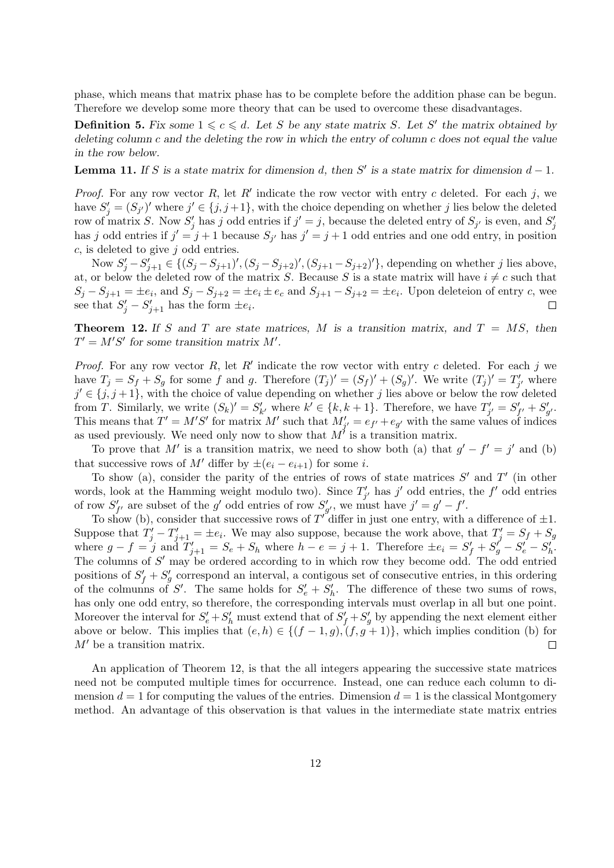phase, which means that matrix phase has to be complete before the addition phase can be begun. Therefore we develop some more theory that can be used to overcome these disadvantages.

**Definition 5.** Fix some  $1 \leq c \leq d$ . Let S be any state matrix S. Let S' the matrix obtained by deleting column c and the deleting the row in which the entry of column c does not equal the value in the row below.

**Lemma 11.** If S is a state matrix for dimension d, then S' is a state matrix for dimension  $d-1$ .

*Proof.* For any row vector  $R$ , let  $R'$  indicate the row vector with entry c deleted. For each j, we have  $S'_{j} = (S_{j'})'$  where  $j' \in \{j, j+1\}$ , with the choice depending on whether j lies below the deleted row of matrix S. Now  $S'_j$  has j odd entries if  $j' = j$ , because the deleted entry of  $S_{j'}$  is even, and  $S'_j$ has j odd entries if  $j' = j + 1$  because  $S_{j'}$  has  $j' = j + 1$  odd entries and one odd entry, in position  $c$ , is deleted to give  $j$  odd entries.

Now  $S'_j - S'_{j+1} \in \{(S_j - S_{j+1})', (S_j - S_{j+2})', (S_{j+1} - S_{j+2})'\}$ , depending on whether j lies above, at, or below the deleted row of the matrix S. Because S is a state matrix will have  $i \neq c$  such that  $S_j - S_{j+1} = \pm e_i$ , and  $S_j - S_{j+2} = \pm e_i \pm e_c$  and  $S_{j+1} - S_{j+2} = \pm e_i$ . Upon deleteion of entry c, wee see that  $S'_j - S'_{j+1}$  has the form  $\pm e_i$ .  $\Box$ 

**Theorem 12.** If S and T are state matrices, M is a transition matrix, and  $T = MS$ , then  $T' = M'S'$  for some transition matrix M'.

*Proof.* For any row vector  $R$ , let  $R'$  indicate the row vector with entry c deleted. For each j we have  $T_j = S_f + S_g$  for some f and g. Therefore  $(T_j)' = (S_f)' + (S_g)'$ . We write  $(T_j)' = T'_{j'}$  where  $j' \in \{j, j+1\}$ , with the choice of value depending on whether j lies above or below the row deleted from T. Similarly, we write  $(S_k)' = S'_{k'}$  where  $k' \in \{k, k+1\}$ . Therefore, we have  $T'_{j'} = S'_{f'} + S'_{g'}$ . This means that  $T' = M'S'$  for matrix M' such that  $M'_{j'} = e_{j'} + e_{g'}$  with the same values of indices as used previously. We need only now to show that  $M^{\prime}$  is a transition matrix.

To prove that M' is a transition matrix, we need to show both (a) that  $g' - f' = j'$  and (b) that successive rows of M' differ by  $\pm(e_i - e_{i+1})$  for some i.

To show (a), consider the parity of the entries of rows of state matrices  $S'$  and  $T'$  (in other words, look at the Hamming weight modulo two). Since  $T'_{j'}$  has j' odd entries, the f' odd entries of row  $S'_{f'}$  are subset of the g' odd entries of row  $S'_{g'}$ , we must have  $j' = g' - f'$ .

To show (b), consider that successive rows of  $T^{'}$  differ in just one entry, with a difference of  $\pm 1$ . Suppose that  $T'_j - T'_{j+1} = \pm e_i$ . We may also suppose, because the work above, that  $T'_j = S_f + S_g$ where  $g - f = j$  and  $T'_{j+1} = S_e + S_h$  where  $h - e = j + 1$ . Therefore  $\pm e_i = S'_f + S'_g - S'_e - S'_h$ . The columns of  $S'$  may be ordered according to in which row they become odd. The odd entried positions of  $S'_f + S'_g$  correspond an interval, a contigous set of consecutive entries, in this ordering of the colmunns of S'. The same holds for  $S'_e + S'_h$ . The difference of these two sums of rows, has only one odd entry, so therefore, the corresponding intervals must overlap in all but one point. Moreover the interval for  $S'_e + S'_h$  must extend that of  $S'_f + S'_g$  by appending the next element either above or below. This implies that  $(e, h) \in \{(f - 1, g), (f, g + 1)\}\)$ , which implies condition (b) for  $M'$  be a transition matrix.  $\Box$ 

An application of Theorem 12, is that the all integers appearing the successive state matrices need not be computed multiple times for occurrence. Instead, one can reduce each column to dimension  $d = 1$  for computing the values of the entries. Dimension  $d = 1$  is the classical Montgomery method. An advantage of this observation is that values in the intermediate state matrix entries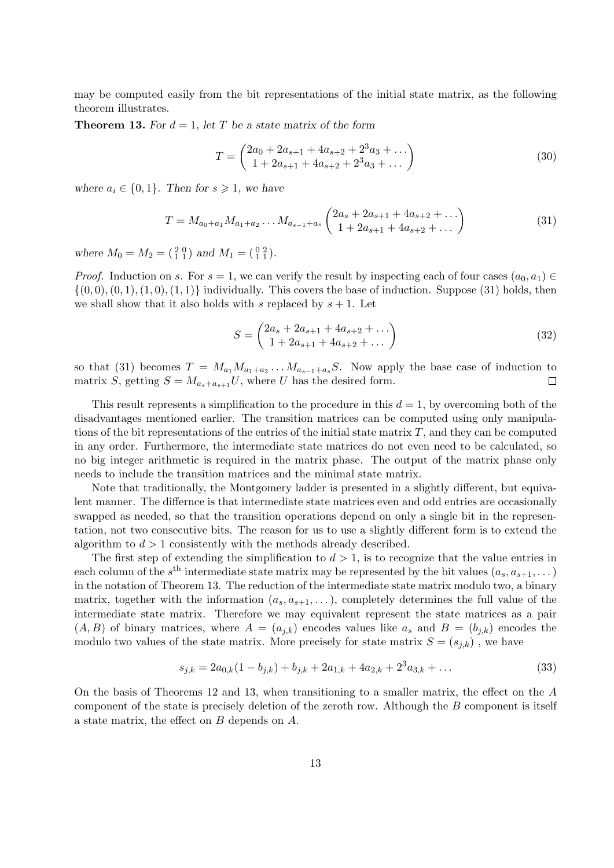may be computed easily from the bit representations of the initial state matrix, as the following theorem illustrates.

**Theorem 13.** For  $d = 1$ , let T be a state matrix of the form

$$
T = \begin{pmatrix} 2a_0 + 2a_{s+1} + 4a_{s+2} + 2^3a_3 + \dots \\ 1 + 2a_{s+1} + 4a_{s+2} + 2^3a_3 + \dots \end{pmatrix}
$$
 (30)

where  $a_i \in \{0, 1\}$ . Then for  $s \geq 1$ , we have

$$
T = M_{a_0 + a_1} M_{a_1 + a_2} \dots M_{a_{s-1} + a_s} \begin{pmatrix} 2a_s + 2a_{s+1} + 4a_{s+2} + \dots \\ 1 + 2a_{s+1} + 4a_{s+2} + \dots \end{pmatrix}
$$
 (31)

where  $M_0 = M_2 = \begin{pmatrix} 2 & 0 \\ 1 & 1 \end{pmatrix}$  and  $M_1 = \begin{pmatrix} 0 & 2 \\ 1 & 1 \end{pmatrix}$ .

*Proof.* Induction on s. For  $s = 1$ , we can verify the result by inspecting each of four cases  $(a_0, a_1) \in$  $\{(0,0), (0,1), (1,0), (1,1)\}\$  individually. This covers the base of induction. Suppose (31) holds, then we shall show that it also holds with s replaced by  $s + 1$ . Let

$$
S = \begin{pmatrix} 2a_s + 2a_{s+1} + 4a_{s+2} + \dots \\ 1 + 2a_{s+1} + 4a_{s+2} + \dots \end{pmatrix}
$$
 (32)

so that (31) becomes  $T = M_{a_1} M_{a_1 + a_2} \dots M_{a_{s-1} + a_s} S$ . Now apply the base case of induction to matrix S, getting  $S = M_{a_s+a_{s+1}}U$ , where U has the desired form.  $\Box$ 

This result represents a simplification to the procedure in this  $d = 1$ , by overcoming both of the disadvantages mentioned earlier. The transition matrices can be computed using only manipulations of the bit representations of the entries of the initial state matrix  $T$ , and they can be computed in any order. Furthermore, the intermediate state matrices do not even need to be calculated, so no big integer arithmetic is required in the matrix phase. The output of the matrix phase only needs to include the transition matrices and the minimal state matrix.

Note that traditionally, the Montgomery ladder is presented in a slightly different, but equivalent manner. The differnce is that intermediate state matrices even and odd entries are occasionally swapped as needed, so that the transition operations depend on only a single bit in the representation, not two consecutive bits. The reason for us to use a slightly different form is to extend the algorithm to  $d > 1$  consistently with the methods already described.

The first step of extending the simplification to  $d > 1$ , is to recognize that the value entries in each column of the  $s<sup>th</sup>$  intermediate state matrix may be represented by the bit values  $(a_s, a_{s+1}, \dots)$ in the notation of Theorem 13. The reduction of the intermediate state matrix modulo two, a binary matrix, together with the information  $(a_s, a_{s+1}, \ldots)$ , completely determines the full value of the intermediate state matrix. Therefore we may equivalent represent the state matrices as a pair  $(A, B)$  of binary matrices, where  $A = (a_{j,k})$  encodes values like  $a_s$  and  $B = (b_{j,k})$  encodes the modulo two values of the state matrix. More precisely for state matrix  $S = (s_{i,k})$ , we have

$$
s_{j,k} = 2a_{0,k}(1 - b_{j,k}) + b_{j,k} + 2a_{1,k} + 4a_{2,k} + 2^3a_{3,k} + \dots
$$
\n(33)

On the basis of Theorems 12 and 13, when transitioning to a smaller matrix, the effect on the A component of the state is precisely deletion of the zeroth row. Although the B component is itself a state matrix, the effect on B depends on A.